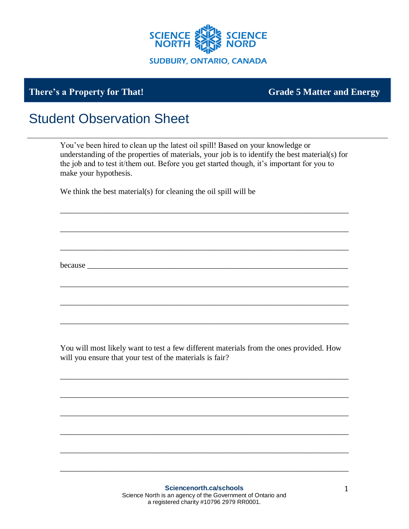

## **There's a Property for That! Grade 5 Matter and Energy**

## Student Observation Sheet

You've been hired to clean up the latest oil spill! Based on your knowledge or understanding of the properties of materials, your job is to identify the best material(s) for the job and to test it/them out. Before you get started though, it's important for you to make your hypothesis.

\_\_\_\_\_\_\_\_\_\_\_\_\_\_\_\_\_\_\_\_\_\_\_\_\_\_\_\_\_\_\_\_\_\_\_\_\_\_\_\_\_\_\_\_\_\_\_\_\_\_\_\_\_\_\_\_\_\_\_\_\_\_\_\_\_\_\_\_\_\_\_\_

\_\_\_\_\_\_\_\_\_\_\_\_\_\_\_\_\_\_\_\_\_\_\_\_\_\_\_\_\_\_\_\_\_\_\_\_\_\_\_\_\_\_\_\_\_\_\_\_\_\_\_\_\_\_\_\_\_\_\_\_\_\_\_\_\_\_\_\_\_\_\_\_

\_\_\_\_\_\_\_\_\_\_\_\_\_\_\_\_\_\_\_\_\_\_\_\_\_\_\_\_\_\_\_\_\_\_\_\_\_\_\_\_\_\_\_\_\_\_\_\_\_\_\_\_\_\_\_\_\_\_\_\_\_\_\_\_\_\_\_\_\_\_\_\_

\_\_\_\_\_\_\_\_\_\_\_\_\_\_\_\_\_\_\_\_\_\_\_\_\_\_\_\_\_\_\_\_\_\_\_\_\_\_\_\_\_\_\_\_\_\_\_\_\_\_\_\_\_\_\_\_\_\_\_\_\_\_\_\_\_\_\_\_\_\_\_\_

\_\_\_\_\_\_\_\_\_\_\_\_\_\_\_\_\_\_\_\_\_\_\_\_\_\_\_\_\_\_\_\_\_\_\_\_\_\_\_\_\_\_\_\_\_\_\_\_\_\_\_\_\_\_\_\_\_\_\_\_\_\_\_\_\_\_\_\_\_\_\_\_

\_\_\_\_\_\_\_\_\_\_\_\_\_\_\_\_\_\_\_\_\_\_\_\_\_\_\_\_\_\_\_\_\_\_\_\_\_\_\_\_\_\_\_\_\_\_\_\_\_\_\_\_\_\_\_\_\_\_\_\_\_\_\_\_\_\_\_\_\_\_\_\_

We think the best material(s) for cleaning the oil spill will be

because \_\_\_\_\_\_\_\_\_\_\_\_\_\_\_\_\_\_\_\_\_\_\_\_\_\_\_\_\_\_\_\_\_\_\_\_\_\_\_\_\_\_\_\_\_\_\_\_\_\_\_\_\_\_\_\_\_\_\_\_\_\_\_\_\_

You will most likely want to test a few different materials from the ones provided. How will you ensure that your test of the materials is fair?

\_\_\_\_\_\_\_\_\_\_\_\_\_\_\_\_\_\_\_\_\_\_\_\_\_\_\_\_\_\_\_\_\_\_\_\_\_\_\_\_\_\_\_\_\_\_\_\_\_\_\_\_\_\_\_\_\_\_\_\_\_\_\_\_\_\_\_\_\_\_\_\_

\_\_\_\_\_\_\_\_\_\_\_\_\_\_\_\_\_\_\_\_\_\_\_\_\_\_\_\_\_\_\_\_\_\_\_\_\_\_\_\_\_\_\_\_\_\_\_\_\_\_\_\_\_\_\_\_\_\_\_\_\_\_\_\_\_\_\_\_\_\_\_\_

\_\_\_\_\_\_\_\_\_\_\_\_\_\_\_\_\_\_\_\_\_\_\_\_\_\_\_\_\_\_\_\_\_\_\_\_\_\_\_\_\_\_\_\_\_\_\_\_\_\_\_\_\_\_\_\_\_\_\_\_\_\_\_\_\_\_\_\_\_\_\_\_

\_\_\_\_\_\_\_\_\_\_\_\_\_\_\_\_\_\_\_\_\_\_\_\_\_\_\_\_\_\_\_\_\_\_\_\_\_\_\_\_\_\_\_\_\_\_\_\_\_\_\_\_\_\_\_\_\_\_\_\_\_\_\_\_\_\_\_\_\_\_\_\_

\_\_\_\_\_\_\_\_\_\_\_\_\_\_\_\_\_\_\_\_\_\_\_\_\_\_\_\_\_\_\_\_\_\_\_\_\_\_\_\_\_\_\_\_\_\_\_\_\_\_\_\_\_\_\_\_\_\_\_\_\_\_\_\_\_\_\_\_\_\_\_\_

\_\_\_\_\_\_\_\_\_\_\_\_\_\_\_\_\_\_\_\_\_\_\_\_\_\_\_\_\_\_\_\_\_\_\_\_\_\_\_\_\_\_\_\_\_\_\_\_\_\_\_\_\_\_\_\_\_\_\_\_\_\_\_\_\_\_\_\_\_\_\_\_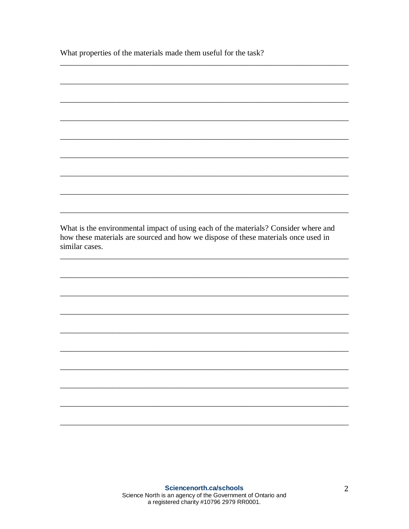What properties of the materials made them useful for the task?

What is the environmental impact of using each of the materials? Consider where and how these materials are sourced and how we dispose of these materials once used in similar cases.